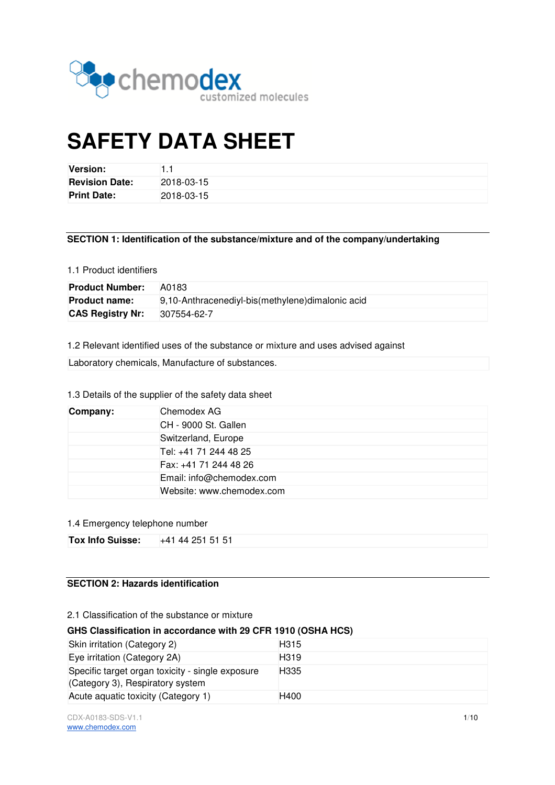

# **SAFETY DATA SHEET**

| <b>Version:</b>       |            |
|-----------------------|------------|
| <b>Revision Date:</b> | 2018-03-15 |
| <b>Print Date:</b>    | 2018-03-15 |

## **SECTION 1: Identification of the substance/mixture and of the company/undertaking**

#### 1.1 Product identifiers

| <b>Product Number:</b>  | A0183                                            |
|-------------------------|--------------------------------------------------|
| <b>Product name:</b>    | 9,10-Anthracenediyl-bis(methylene)dimalonic acid |
| <b>CAS Registry Nr:</b> | 307554-62-7                                      |

1.2 Relevant identified uses of the substance or mixture and uses advised against

Laboratory chemicals, Manufacture of substances.

## 1.3 Details of the supplier of the safety data sheet

| Company: | Chemodex AG               |
|----------|---------------------------|
|          | CH - 9000 St. Gallen      |
|          | Switzerland, Europe       |
|          | Tel: +41 71 244 48 25     |
|          | Fax: +41 71 244 48 26     |
|          | Email: info@chemodex.com  |
|          | Website: www.chemodex.com |

#### 1.4 Emergency telephone number

| <b>Tox Info Suisse:</b> | +41 44 251 51 51 |
|-------------------------|------------------|
|                         |                  |

## **SECTION 2: Hazards identification**

#### 2.1 Classification of the substance or mixture

## **GHS Classification in accordance with 29 CFR 1910 (OSHA HCS)**

| Skin irritation (Category 2)                                                         | H <sub>315</sub>  |
|--------------------------------------------------------------------------------------|-------------------|
| Eye irritation (Category 2A)                                                         | H <sub>3</sub> 19 |
| Specific target organ toxicity - single exposure<br>(Category 3), Respiratory system | H <sub>335</sub>  |
| Acute aquatic toxicity (Category 1)                                                  | H400              |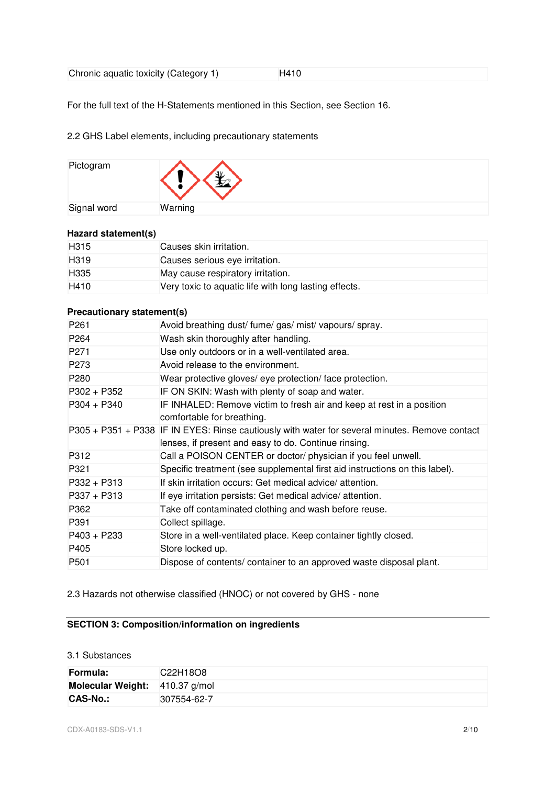For the full text of the H-Statements mentioned in this Section, see Section 16.

## 2.2 GHS Label elements, including precautionary statements

| Pictogram   | Æ       |
|-------------|---------|
| Signal word | Warning |

## **Hazard statement(s)**

| H <sub>315</sub> | Causes skin irritation.                               |
|------------------|-------------------------------------------------------|
| H <sub>319</sub> | Causes serious eye irritation.                        |
| H335             | May cause respiratory irritation.                     |
| H410             | Very toxic to aquatic life with long lasting effects. |

## **Precautionary statement(s)**

| P <sub>261</sub> | Avoid breathing dust/ fume/ gas/ mist/ vapours/ spray.                                                                                                 |
|------------------|--------------------------------------------------------------------------------------------------------------------------------------------------------|
| P <sub>264</sub> | Wash skin thoroughly after handling.                                                                                                                   |
| P <sub>271</sub> | Use only outdoors or in a well-ventilated area.                                                                                                        |
| P <sub>273</sub> | Avoid release to the environment.                                                                                                                      |
| P <sub>280</sub> | Wear protective gloves/ eye protection/ face protection.                                                                                               |
| $P302 + P352$    | IF ON SKIN: Wash with plenty of soap and water.                                                                                                        |
| $P304 + P340$    | IF INHALED: Remove victim to fresh air and keep at rest in a position<br>comfortable for breathing.                                                    |
|                  | P305 + P351 + P338 IF IN EYES: Rinse cautiously with water for several minutes. Remove contact<br>lenses, if present and easy to do. Continue rinsing. |
| P312             | Call a POISON CENTER or doctor/ physician if you feel unwell.                                                                                          |
| P321             | Specific treatment (see supplemental first aid instructions on this label).                                                                            |
| $P332 + P313$    | If skin irritation occurs: Get medical advice/attention.                                                                                               |
| $P337 + P313$    | If eye irritation persists: Get medical advice/attention.                                                                                              |
| P362             | Take off contaminated clothing and wash before reuse.                                                                                                  |
| P391             | Collect spillage.                                                                                                                                      |
| $P403 + P233$    | Store in a well-ventilated place. Keep container tightly closed.                                                                                       |
| P405             | Store locked up.                                                                                                                                       |
| P <sub>501</sub> | Dispose of contents/ container to an approved waste disposal plant.                                                                                    |

2.3 Hazards not otherwise classified (HNOC) or not covered by GHS - none

## **SECTION 3: Composition/information on ingredients**

#### 3.1 Substances

| Formula:                       | C22H18O8    |
|--------------------------------|-------------|
| Molecular Weight: 410.37 g/mol |             |
| <b>CAS-No.:</b>                | 307554-62-7 |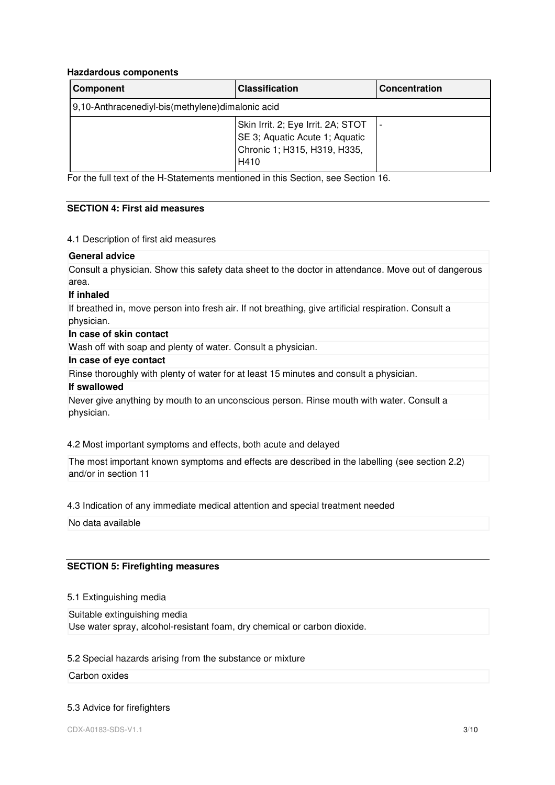#### **Hazdardous components**

| Component                                        | <b>Classification</b>                                                                                        | <b>Concentration</b> |
|--------------------------------------------------|--------------------------------------------------------------------------------------------------------------|----------------------|
| 9,10-Anthracenediyl-bis(methylene)dimalonic acid |                                                                                                              |                      |
|                                                  | Skin Irrit. 2; Eye Irrit. 2A; STOT<br>SE 3; Aquatic Acute 1; Aquatic<br>Chronic 1; H315, H319, H335,<br>H410 |                      |

For the full text of the H-Statements mentioned in this Section, see Section 16.

#### **SECTION 4: First aid measures**

#### 4.1 Description of first aid measures

#### **General advice**

Consult a physician. Show this safety data sheet to the doctor in attendance. Move out of dangerous area.

#### **If inhaled**

If breathed in, move person into fresh air. If not breathing, give artificial respiration. Consult a physician.

#### **In case of skin contact**

Wash off with soap and plenty of water. Consult a physician.

## **In case of eye contact**

Rinse thoroughly with plenty of water for at least 15 minutes and consult a physician.

#### **If swallowed**

Never give anything by mouth to an unconscious person. Rinse mouth with water. Consult a physician.

#### 4.2 Most important symptoms and effects, both acute and delayed

The most important known symptoms and effects are described in the labelling (see section 2.2) and/or in section 11

#### 4.3 Indication of any immediate medical attention and special treatment needed

No data available

## **SECTION 5: Firefighting measures**

## 5.1 Extinguishing media

Suitable extinguishing media Use water spray, alcohol-resistant foam, dry chemical or carbon dioxide.

#### 5.2 Special hazards arising from the substance or mixture

#### Carbon oxides

#### 5.3 Advice for firefighters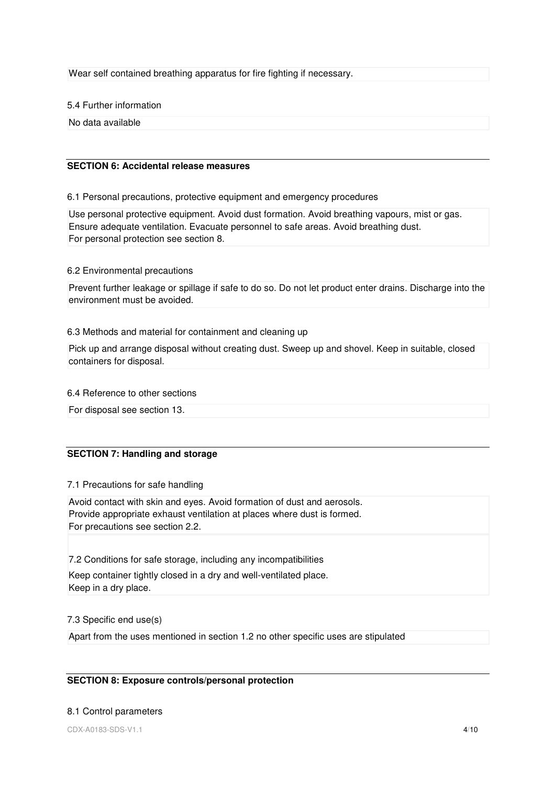Wear self contained breathing apparatus for fire fighting if necessary.

5.4 Further information

No data available

#### **SECTION 6: Accidental release measures**

6.1 Personal precautions, protective equipment and emergency procedures

Use personal protective equipment. Avoid dust formation. Avoid breathing vapours, mist or gas. Ensure adequate ventilation. Evacuate personnel to safe areas. Avoid breathing dust. For personal protection see section 8.

#### 6.2 Environmental precautions

Prevent further leakage or spillage if safe to do so. Do not let product enter drains. Discharge into the environment must be avoided.

#### 6.3 Methods and material for containment and cleaning up

Pick up and arrange disposal without creating dust. Sweep up and shovel. Keep in suitable, closed containers for disposal.

## 6.4 Reference to other sections

For disposal see section 13.

## **SECTION 7: Handling and storage**

## 7.1 Precautions for safe handling

Avoid contact with skin and eyes. Avoid formation of dust and aerosols. Provide appropriate exhaust ventilation at places where dust is formed. For precautions see section 2.2.

7.2 Conditions for safe storage, including any incompatibilities Keep container tightly closed in a dry and well-ventilated place. Keep in a dry place.

## 7.3 Specific end use(s)

Apart from the uses mentioned in section 1.2 no other specific uses are stipulated

## **SECTION 8: Exposure controls/personal protection**

#### 8.1 Control parameters

CDX-A0183-SDS-V1.1 4/10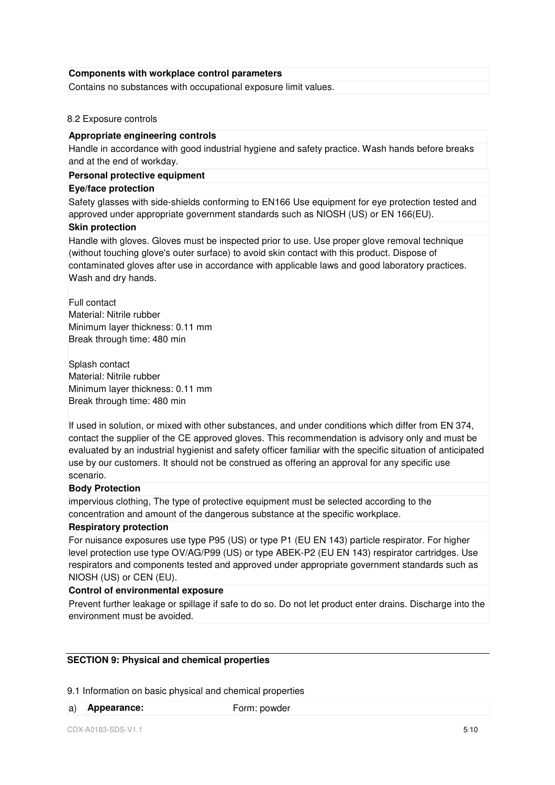#### **Components with workplace control parameters**

Contains no substances with occupational exposure limit values.

#### 8.2 Exposure controls

#### **Appropriate engineering controls**

Handle in accordance with good industrial hygiene and safety practice. Wash hands before breaks and at the end of workday.

#### **Personal protective equipment**

## **Eye/face protection**

Safety glasses with side-shields conforming to EN166 Use equipment for eye protection tested and approved under appropriate government standards such as NIOSH (US) or EN 166(EU).

#### **Skin protection**

Handle with gloves. Gloves must be inspected prior to use. Use proper glove removal technique (without touching glove's outer surface) to avoid skin contact with this product. Dispose of contaminated gloves after use in accordance with applicable laws and good laboratory practices. Wash and dry hands.

Full contact Material: Nitrile rubber Minimum layer thickness: 0.11 mm Break through time: 480 min

Splash contact Material: Nitrile rubber Minimum layer thickness: 0.11 mm Break through time: 480 min

If used in solution, or mixed with other substances, and under conditions which differ from EN 374, contact the supplier of the CE approved gloves. This recommendation is advisory only and must be evaluated by an industrial hygienist and safety officer familiar with the specific situation of anticipated use by our customers. It should not be construed as offering an approval for any specific use scenario.

## **Body Protection**

impervious clothing, The type of protective equipment must be selected according to the concentration and amount of the dangerous substance at the specific workplace.

#### **Respiratory protection**

For nuisance exposures use type P95 (US) or type P1 (EU EN 143) particle respirator. For higher level protection use type OV/AG/P99 (US) or type ABEK-P2 (EU EN 143) respirator cartridges. Use respirators and components tested and approved under appropriate government standards such as NIOSH (US) or CEN (EU).

#### **Control of environmental exposure**

Prevent further leakage or spillage if safe to do so. Do not let product enter drains. Discharge into the environment must be avoided.

## **SECTION 9: Physical and chemical properties**

9.1 Information on basic physical and chemical properties

a) **Appearance: Form: powder**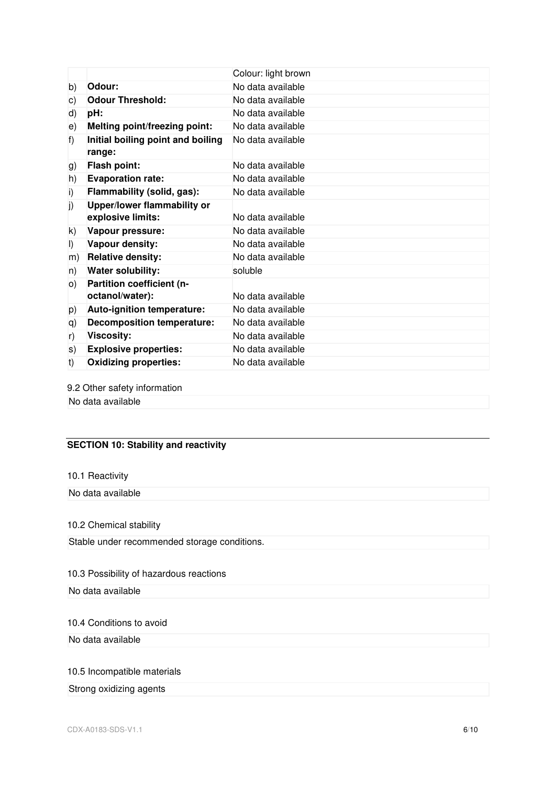|                                             | Colour: light brown |
|---------------------------------------------|---------------------|
| Odour:                                      | No data available   |
| <b>Odour Threshold:</b>                     | No data available   |
| pH:                                         | No data available   |
| Melting point/freezing point:               | No data available   |
| Initial boiling point and boiling<br>range: | No data available   |
| <b>Flash point:</b>                         | No data available   |
| <b>Evaporation rate:</b>                    | No data available   |
| Flammability (solid, gas):                  | No data available   |
| Upper/lower flammability or                 |                     |
| explosive limits:                           | No data available   |
| Vapour pressure:                            | No data available   |
| Vapour density:                             | No data available   |
| <b>Relative density:</b>                    | No data available   |
| Water solubility:                           | soluble             |
| Partition coefficient (n-                   |                     |
| octanol/water):                             | No data available   |
| Auto-ignition temperature:                  | No data available   |
| <b>Decomposition temperature:</b>           | No data available   |
| <b>Viscosity:</b>                           | No data available   |
| <b>Explosive properties:</b>                | No data available   |
| <b>Oxidizing properties:</b>                | No data available   |
|                                             |                     |

9.2 Other safety information

No data available

## **SECTION 10: Stability and reactivity**

## 10.1 Reactivity

No data available

## 10.2 Chemical stability

Stable under recommended storage conditions.

## 10.3 Possibility of hazardous reactions

No data available

## 10.4 Conditions to avoid

No data available

## 10.5 Incompatible materials

## Strong oxidizing agents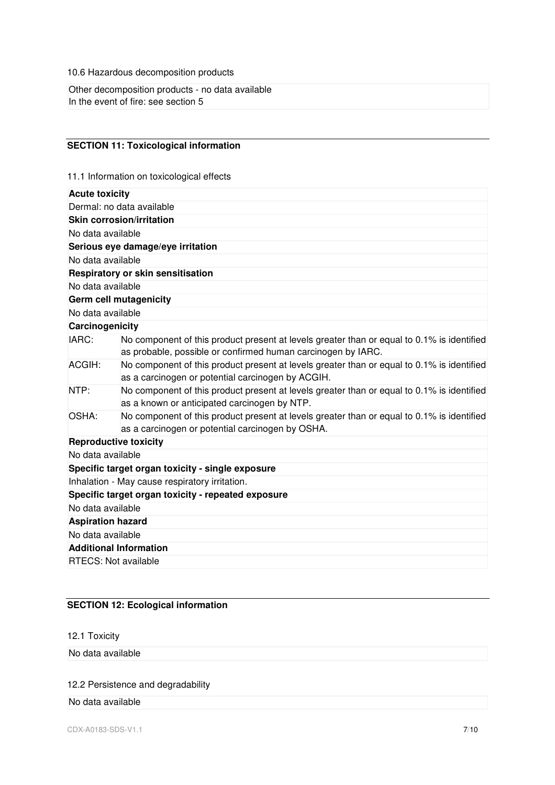10.6 Hazardous decomposition products

Other decomposition products - no data available In the event of fire: see section 5

## **SECTION 11: Toxicological information**

11.1 Information on toxicological effects

| <b>Acute toxicity</b>         |                                                                                                                                                            |
|-------------------------------|------------------------------------------------------------------------------------------------------------------------------------------------------------|
|                               | Dermal: no data available                                                                                                                                  |
|                               | <b>Skin corrosion/irritation</b>                                                                                                                           |
| No data available             |                                                                                                                                                            |
|                               | Serious eye damage/eye irritation                                                                                                                          |
| No data available             |                                                                                                                                                            |
|                               | Respiratory or skin sensitisation                                                                                                                          |
| No data available             |                                                                                                                                                            |
|                               | <b>Germ cell mutagenicity</b>                                                                                                                              |
| No data available             |                                                                                                                                                            |
| Carcinogenicity               |                                                                                                                                                            |
| IARC:                         | No component of this product present at levels greater than or equal to 0.1% is identified<br>as probable, possible or confirmed human carcinogen by IARC. |
| ACGIH:                        | No component of this product present at levels greater than or equal to 0.1% is identified<br>as a carcinogen or potential carcinogen by ACGIH.            |
| NTP:                          | No component of this product present at levels greater than or equal to 0.1% is identified<br>as a known or anticipated carcinogen by NTP.                 |
| OSHA:                         | No component of this product present at levels greater than or equal to 0.1% is identified<br>as a carcinogen or potential carcinogen by OSHA.             |
| <b>Reproductive toxicity</b>  |                                                                                                                                                            |
| No data available             |                                                                                                                                                            |
|                               | Specific target organ toxicity - single exposure                                                                                                           |
|                               | Inhalation - May cause respiratory irritation.                                                                                                             |
|                               | Specific target organ toxicity - repeated exposure                                                                                                         |
| No data available             |                                                                                                                                                            |
| <b>Aspiration hazard</b>      |                                                                                                                                                            |
| No data available             |                                                                                                                                                            |
| <b>Additional Information</b> |                                                                                                                                                            |
| <b>RTECS: Not available</b>   |                                                                                                                                                            |

# **SECTION 12: Ecological information**

12.1 Toxicity

No data available

# 12.2 Persistence and degradability

No data available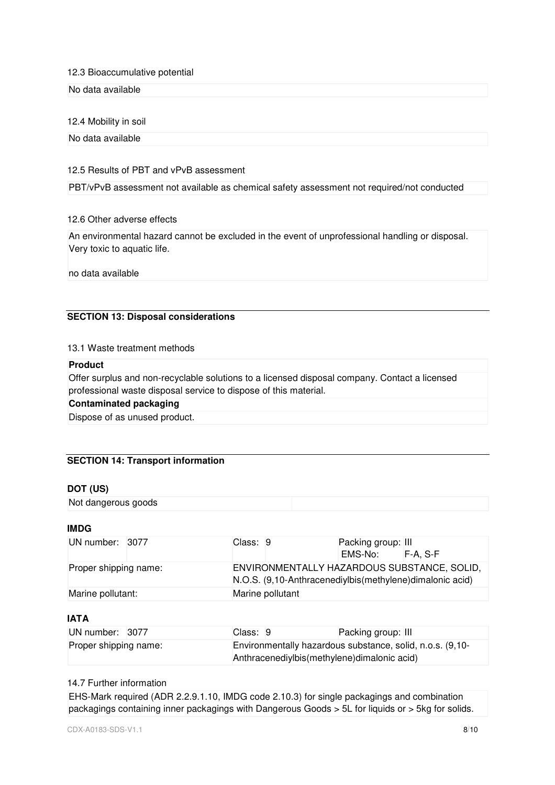#### 12.3 Bioaccumulative potential

No data available

#### 12.4 Mobility in soil

No data available

#### 12.5 Results of PBT and vPvB assessment

PBT/vPvB assessment not available as chemical safety assessment not required/not conducted

#### 12.6 Other adverse effects

An environmental hazard cannot be excluded in the event of unprofessional handling or disposal. Very toxic to aquatic life.

no data available

## **SECTION 13: Disposal considerations**

#### 13.1 Waste treatment methods

#### **Product**

Offer surplus and non-recyclable solutions to a licensed disposal company. Contact a licensed professional waste disposal service to dispose of this material.

## **Contaminated packaging**

Dispose of as unused product.

#### **SECTION 14: Transport information**

#### **DOT (US)**

Not dangerous goods

#### **IMDG**

| UN number: 3077       |  | Class: 9                                                                                                  |  | Packing group: III |  |  |
|-----------------------|--|-----------------------------------------------------------------------------------------------------------|--|--------------------|--|--|
|                       |  |                                                                                                           |  | EMS-No: F-A. S-F   |  |  |
| Proper shipping name: |  | ENVIRONMENTALLY HAZARDOUS SUBSTANCE, SOLID,<br>N.O.S. (9,10-Anthracenediylbis (methylene) dimalonic acid) |  |                    |  |  |
| Marine pollutant:     |  | Marine pollutant                                                                                          |  |                    |  |  |

## **IATA**

| UN number: 3077       |  | Class: 9                                                                                                   |  | Packing group: III |  |
|-----------------------|--|------------------------------------------------------------------------------------------------------------|--|--------------------|--|
| Proper shipping name: |  | Environmentally hazardous substance, solid, n.o.s. (9,10-<br>Anthracenediylbis (methylene) dimalonic acid) |  |                    |  |

#### 14.7 Further information

EHS-Mark required (ADR 2.2.9.1.10, IMDG code 2.10.3) for single packagings and combination packagings containing inner packagings with Dangerous Goods > 5L for liquids or > 5kg for solids.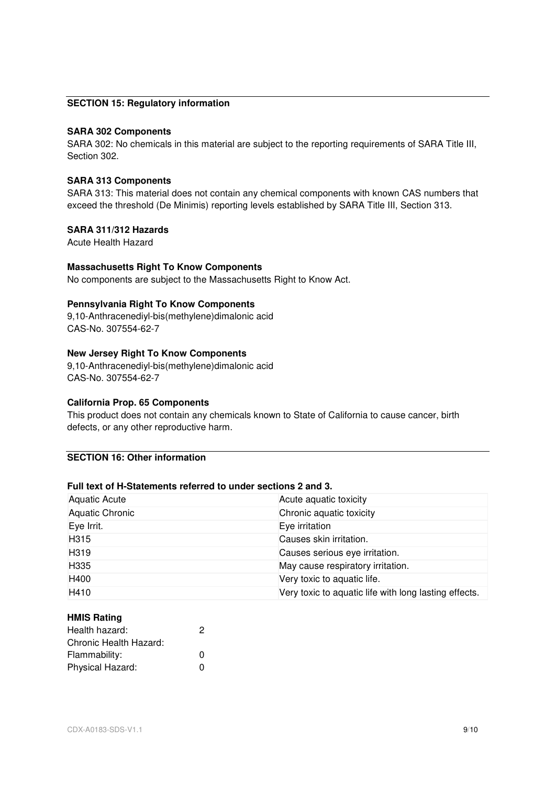## **SECTION 15: Regulatory information**

#### **SARA 302 Components**

SARA 302: No chemicals in this material are subject to the reporting requirements of SARA Title III, Section 302.

#### **SARA 313 Components**

SARA 313: This material does not contain any chemical components with known CAS numbers that exceed the threshold (De Minimis) reporting levels established by SARA Title III, Section 313.

## **SARA 311/312 Hazards**

Acute Health Hazard

#### **Massachusetts Right To Know Components**

No components are subject to the Massachusetts Right to Know Act.

#### **Pennsylvania Right To Know Components**

9,10-Anthracenediyl-bis(methylene)dimalonic acid CAS-No. 307554-62-7

## **New Jersey Right To Know Components**

9,10-Anthracenediyl-bis(methylene)dimalonic acid CAS-No. 307554-62-7

#### **California Prop. 65 Components**

This product does not contain any chemicals known to State of California to cause cancer, birth defects, or any other reproductive harm.

## **SECTION 16: Other information**

# **Full text of H-Statements referred to under sections 2 and 3.**

| Aquatic Acute     | Acute aquatic toxicity                                |
|-------------------|-------------------------------------------------------|
| Aquatic Chronic   | Chronic aquatic toxicity                              |
| Eye Irrit.        | Eye irritation                                        |
| H <sub>3</sub> 15 | Causes skin irritation.                               |
| H319              | Causes serious eye irritation.                        |
| H335              | May cause respiratory irritation.                     |
| H400              | Very toxic to aquatic life.                           |
| H410              | Very toxic to aquatic life with long lasting effects. |

#### **HMIS Rating**

| Health hazard:         | 2 |
|------------------------|---|
| Chronic Health Hazard: |   |
| Flammability:          | n |
| Physical Hazard:       | n |